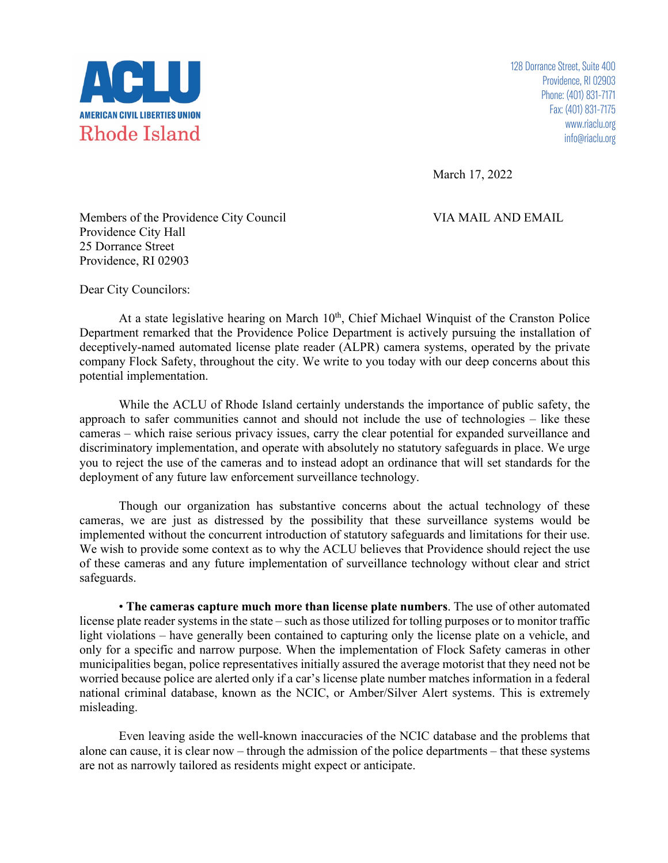

128 Dorrance Street, Suite 400 Providence, RI 02903 Phone: (401) 831-7171 Fax: (401) 831-7175 www.riaclu.org info@riaclu.org

March 17, 2022

Members of the Providence City Council VIA MAIL AND EMAIL Providence City Hall 25 Dorrance Street Providence, RI 02903

Dear City Councilors:

At a state legislative hearing on March  $10<sup>th</sup>$ , Chief Michael Winquist of the Cranston Police Department remarked that the Providence Police Department is actively pursuing the installation of deceptively-named automated license plate reader (ALPR) camera systems, operated by the private company Flock Safety, throughout the city. We write to you today with our deep concerns about this potential implementation.

While the ACLU of Rhode Island certainly understands the importance of public safety, the approach to safer communities cannot and should not include the use of technologies – like these cameras – which raise serious privacy issues, carry the clear potential for expanded surveillance and discriminatory implementation, and operate with absolutely no statutory safeguards in place. We urge you to reject the use of the cameras and to instead adopt an ordinance that will set standards for the deployment of any future law enforcement surveillance technology.

Though our organization has substantive concerns about the actual technology of these cameras, we are just as distressed by the possibility that these surveillance systems would be implemented without the concurrent introduction of statutory safeguards and limitations for their use. We wish to provide some context as to why the ACLU believes that Providence should reject the use of these cameras and any future implementation of surveillance technology without clear and strict safeguards.

• **The cameras capture much more than license plate numbers**. The use of other automated license plate reader systems in the state – such as those utilized for tolling purposes or to monitor traffic light violations – have generally been contained to capturing only the license plate on a vehicle, and only for a specific and narrow purpose. When the implementation of Flock Safety cameras in other municipalities began, police representatives initially assured the average motorist that they need not be worried because police are alerted only if a car's license plate number matches information in a federal national criminal database, known as the NCIC, or Amber/Silver Alert systems. This is extremely misleading.

Even leaving aside the well-known inaccuracies of the NCIC database and the problems that alone can cause, it is clear now – through the admission of the police departments – that these systems are not as narrowly tailored as residents might expect or anticipate.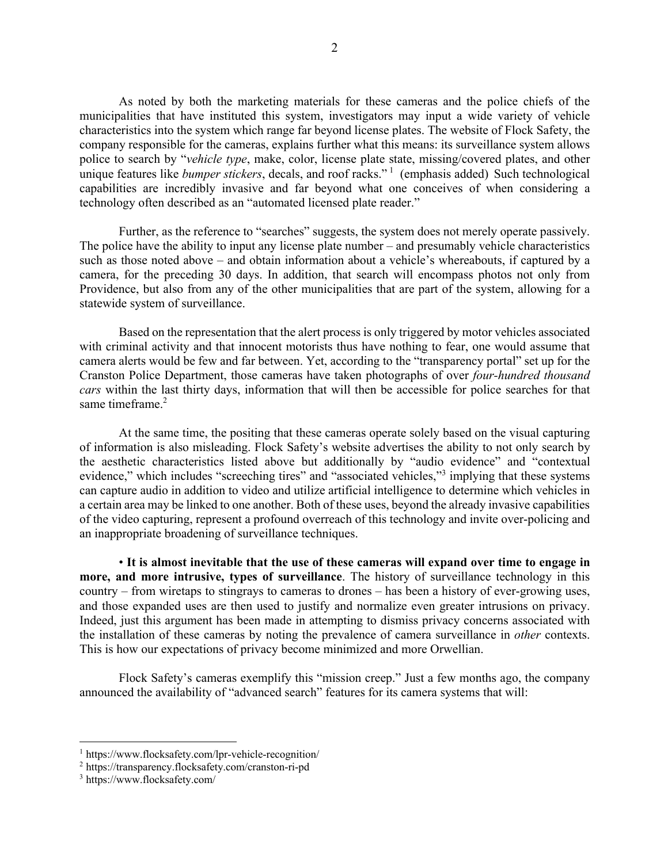As noted by both the marketing materials for these cameras and the police chiefs of the municipalities that have instituted this system, investigators may input a wide variety of vehicle characteristics into the system which range far beyond license plates. The website of Flock Safety, the company responsible for the cameras, explains further what this means: its surveillance system allows police to search by "*vehicle type*, make, color, license plate state, missing/covered plates, and other unique features like *bumper stickers*, decals, and roof racks." <sup>1</sup> (emphasis added) Such technological capabilities are incredibly invasive and far beyond what one conceives of when considering a technology often described as an "automated licensed plate reader."

Further, as the reference to "searches" suggests, the system does not merely operate passively. The police have the ability to input any license plate number – and presumably vehicle characteristics such as those noted above – and obtain information about a vehicle's whereabouts, if captured by a camera, for the preceding 30 days. In addition, that search will encompass photos not only from Providence, but also from any of the other municipalities that are part of the system, allowing for a statewide system of surveillance.

Based on the representation that the alert process is only triggered by motor vehicles associated with criminal activity and that innocent motorists thus have nothing to fear, one would assume that camera alerts would be few and far between. Yet, according to the "transparency portal" set up for the Cranston Police Department, those cameras have taken photographs of over *four-hundred thousand cars* within the last thirty days, information that will then be accessible for police searches for that same timeframe.<sup>2</sup>

At the same time, the positing that these cameras operate solely based on the visual capturing of information is also misleading. Flock Safety's website advertises the ability to not only search by the aesthetic characteristics listed above but additionally by "audio evidence" and "contextual evidence," which includes "screeching tires" and "associated vehicles,"<sup>3</sup> implying that these systems can capture audio in addition to video and utilize artificial intelligence to determine which vehicles in a certain area may be linked to one another. Both of these uses, beyond the already invasive capabilities of the video capturing, represent a profound overreach of this technology and invite over-policing and an inappropriate broadening of surveillance techniques.

• **It is almost inevitable that the use of these cameras will expand over time to engage in more, and more intrusive, types of surveillance**. The history of surveillance technology in this country – from wiretaps to stingrays to cameras to drones – has been a history of ever-growing uses, and those expanded uses are then used to justify and normalize even greater intrusions on privacy. Indeed, just this argument has been made in attempting to dismiss privacy concerns associated with the installation of these cameras by noting the prevalence of camera surveillance in *other* contexts. This is how our expectations of privacy become minimized and more Orwellian.

Flock Safety's cameras exemplify this "mission creep." Just a few months ago, the company announced the availability of "advanced search" features for its camera systems that will:

<sup>1</sup> https://www.flocksafety.com/lpr-vehicle-recognition/

<sup>2</sup> https://transparency.flocksafety.com/cranston-ri-pd

<sup>3</sup> https://www.flocksafety.com/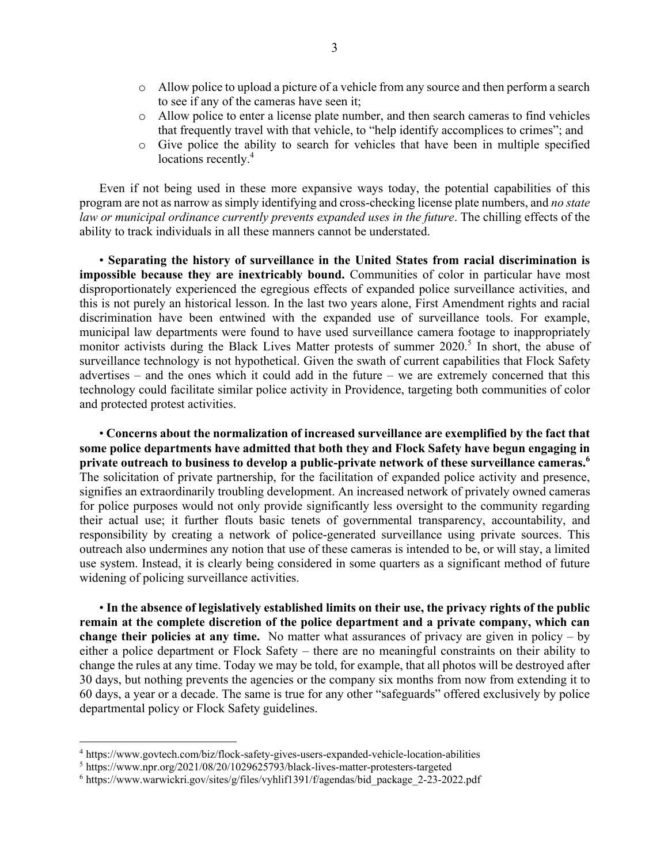- o Allow police to upload a picture of a vehicle from any source and then perform a search to see if any of the cameras have seen it;
- o Allow police to enter a license plate number, and then search cameras to find vehicles that frequently travel with that vehicle, to "help identify accomplices to crimes"; and
- o Give police the ability to search for vehicles that have been in multiple specified locations recently.<sup>4</sup>

Even if not being used in these more expansive ways today, the potential capabilities of this program are not as narrow as simply identifying and cross-checking license plate numbers, and *no state law or municipal ordinance currently prevents expanded uses in the future*. The chilling effects of the ability to track individuals in all these manners cannot be understated.

• **Separating the history of surveillance in the United States from racial discrimination is impossible because they are inextricably bound.** Communities of color in particular have most disproportionately experienced the egregious effects of expanded police surveillance activities, and this is not purely an historical lesson. In the last two years alone, First Amendment rights and racial discrimination have been entwined with the expanded use of surveillance tools. For example, municipal law departments were found to have used surveillance camera footage to inappropriately monitor activists during the Black Lives Matter protests of summer 2020.<sup>5</sup> In short, the abuse of surveillance technology is not hypothetical. Given the swath of current capabilities that Flock Safety advertises – and the ones which it could add in the future – we are extremely concerned that this technology could facilitate similar police activity in Providence, targeting both communities of color and protected protest activities.

• **Concerns about the normalization of increased surveillance are exemplified by the fact that some police departments have admitted that both they and Flock Safety have begun engaging in private outreach to business to develop a public-private network of these surveillance cameras.6** The solicitation of private partnership, for the facilitation of expanded police activity and presence, signifies an extraordinarily troubling development. An increased network of privately owned cameras for police purposes would not only provide significantly less oversight to the community regarding their actual use; it further flouts basic tenets of governmental transparency, accountability, and responsibility by creating a network of police-generated surveillance using private sources. This outreach also undermines any notion that use of these cameras is intended to be, or will stay, a limited use system. Instead, it is clearly being considered in some quarters as a significant method of future widening of policing surveillance activities.

• **In the absence of legislatively established limits on their use, the privacy rights of the public remain at the complete discretion of the police department and a private company, which can change their policies at any time.** No matter what assurances of privacy are given in policy – by either a police department or Flock Safety – there are no meaningful constraints on their ability to change the rules at any time. Today we may be told, for example, that all photos will be destroyed after 30 days, but nothing prevents the agencies or the company six months from now from extending it to 60 days, a year or a decade. The same is true for any other "safeguards" offered exclusively by police departmental policy or Flock Safety guidelines.

<sup>4</sup> https://www.govtech.com/biz/flock-safety-gives-users-expanded-vehicle-location-abilities

<sup>5</sup> https://www.npr.org/2021/08/20/1029625793/black-lives-matter-protesters-targeted

<sup>6</sup> https://www.warwickri.gov/sites/g/files/vyhlif1391/f/agendas/bid\_package\_2-23-2022.pdf